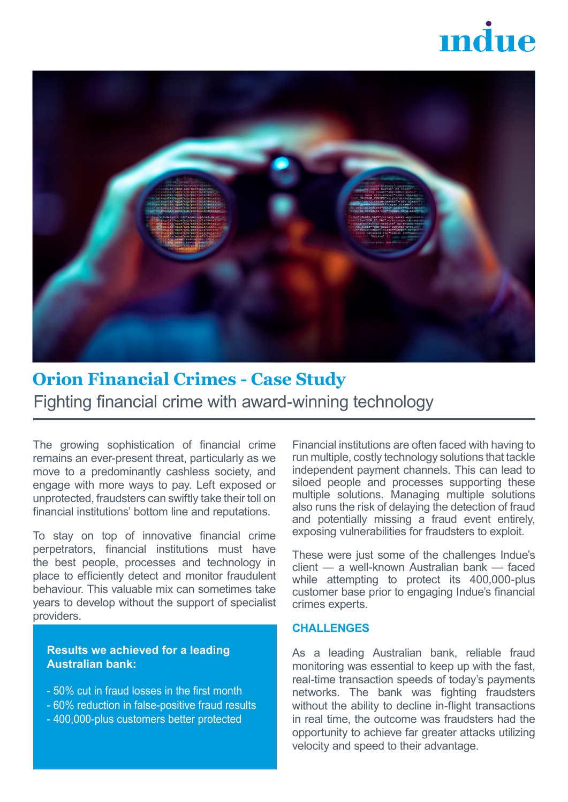# $\mathbf{m}$



# **Orion Financial Crimes - Case Study** Fighting financial crime with award-winning technology

The growing sophistication of financial crime remains an ever-present threat, particularly as we move to a predominantly cashless society, and engage with more ways to pay. Left exposed or unprotected, fraudsters can swiftly take their toll on financial institutions' bottom line and reputations.

To stay on top of innovative financial crime perpetrators, financial institutions must have the best people, processes and technology in place to efficiently detect and monitor fraudulent behaviour. This valuable mix can sometimes take years to develop without the support of specialist providers.

**Results we achieved for a leading Australian bank:**

- 50% cut in fraud losses in the first month
- 60% reduction in false-positive fraud results
- 400,000-plus customers better protected

Financial institutions are often faced with having to run multiple, costly technology solutions that tackle independent payment channels. This can lead to siloed people and processes supporting these multiple solutions. Managing multiple solutions also runs the risk of delaying the detection of fraud and potentially missing a fraud event entirely, exposing vulnerabilities for fraudsters to exploit.

These were just some of the challenges Indue's client — a well-known Australian bank — faced while attempting to protect its 400,000-plus customer base prior to engaging Indue's financial crimes experts.

#### **CHALLENGES**

As a leading Australian bank, reliable fraud monitoring was essential to keep up with the fast, real-time transaction speeds of today's payments networks. The bank was fighting fraudsters without the ability to decline in-flight transactions in real time, the outcome was fraudsters had the opportunity to achieve far greater attacks utilizing velocity and speed to their advantage.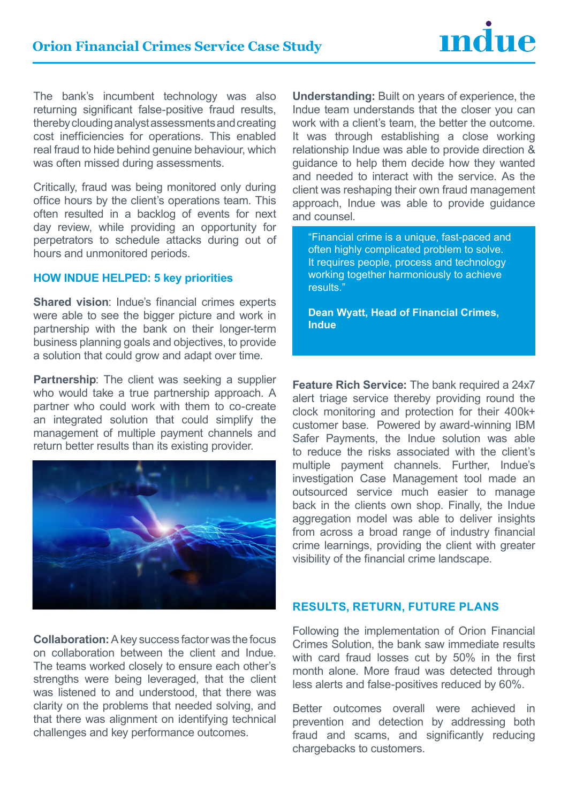# **Orion Financial Crimes Service Case Study**



The bank's incumbent technology was also returning significant false-positive fraud results, thereby clouding analyst assessments and creating cost inefficiencies for operations. This enabled real fraud to hide behind genuine behaviour, which was often missed during assessments.

Critically, fraud was being monitored only during office hours by the client's operations team. This often resulted in a backlog of events for next day review, while providing an opportunity for perpetrators to schedule attacks during out of hours and unmonitored periods.

#### **HOW INDUE HELPED: 5 key priorities**

**Shared vision**: Indue's financial crimes experts were able to see the bigger picture and work in partnership with the bank on their longer-term business planning goals and objectives, to provide a solution that could grow and adapt over time.

**Partnership**: The client was seeking a supplier who would take a true partnership approach. A partner who could work with them to co-create an integrated solution that could simplify the management of multiple payment channels and return better results than its existing provider.



**Collaboration:** A key success factor was the focus on collaboration between the client and Indue. The teams worked closely to ensure each other's strengths were being leveraged, that the client was listened to and understood, that there was clarity on the problems that needed solving, and that there was alignment on identifying technical challenges and key performance outcomes.

**Understanding:** Built on years of experience, the Indue team understands that the closer you can work with a client's team, the better the outcome. It was through establishing a close working relationship Indue was able to provide direction & guidance to help them decide how they wanted and needed to interact with the service. As the client was reshaping their own fraud management approach, Indue was able to provide guidance and counsel.

"Financial crime is a unique, fast-paced and often highly complicated problem to solve. It requires people, process and technology working together harmoniously to achieve results."

**Dean Wyatt, Head of Financial Crimes, Indue** 

**Feature Rich Service:** The bank required a 24x7 alert triage service thereby providing round the clock monitoring and protection for their 400k+ customer base. Powered by award-winning IBM Safer Payments, the Indue solution was able to reduce the risks associated with the client's multiple payment channels. Further, Indue's investigation Case Management tool made an outsourced service much easier to manage back in the clients own shop. Finally, the Indue aggregation model was able to deliver insights from across a broad range of industry financial crime learnings, providing the client with greater visibility of the financial crime landscape.

#### **Results, Return, Future Plans**

Following the implementation of Orion Financial Crimes Solution, the bank saw immediate results with card fraud losses cut by 50% in the first month alone. More fraud was detected through less alerts and false-positives reduced by 60%.

Better outcomes overall were achieved in prevention and detection by addressing both fraud and scams, and significantly reducing chargebacks to customers.